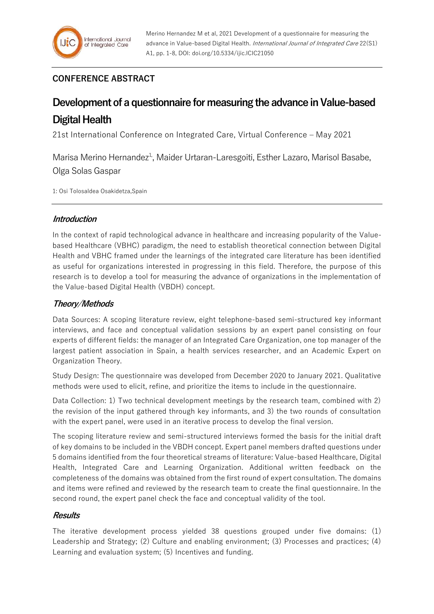## **CONFERENCE ABSTRACT**

# **Development of a questionnaire for measuring the advance in Value-based Digital Health**

21st International Conference on Integrated Care, Virtual Conference – May 2021

Marisa Merino Hernandez<sup>1,</sup>, Maider Urtaran-Laresgoiti, Esther Lazaro, Marisol Basabe, Olga Solas Gaspar

1: Osi Tolosaldea Osakidetza,Spain

## **Introduction**

In the context of rapid technological advance in healthcare and increasing popularity of the Valuebased Healthcare (VBHC) paradigm, the need to establish theoretical connection between Digital Health and VBHC framed under the learnings of the integrated care literature has been identified as useful for organizations interested in progressing in this field. Therefore, the purpose of this research is to develop a tool for measuring the advance of organizations in the implementation of the Value-based Digital Health (VBDH) concept.

## **Theory/Methods**

Data Sources: A scoping literature review, eight telephone-based semi-structured key informant interviews, and face and conceptual validation sessions by an expert panel consisting on four experts of different fields: the manager of an Integrated Care Organization, one top manager of the largest patient association in Spain, a health services researcher, and an Academic Expert on Organization Theory.

Study Design: The questionnaire was developed from December 2020 to January 2021. Qualitative methods were used to elicit, refine, and prioritize the items to include in the questionnaire.

Data Collection: 1) Two technical development meetings by the research team, combined with 2) the revision of the input gathered through key informants, and 3) the two rounds of consultation with the expert panel, were used in an iterative process to develop the final version.

The scoping literature review and semi-structured interviews formed the basis for the initial draft of key domains to be included in the VBDH concept. Expert panel members drafted questions under 5 domains identified from the four theoretical streams of literature: Value-based Healthcare, Digital Health, Integrated Care and Learning Organization. Additional written feedback on the completeness of the domains was obtained from the first round of expert consultation. The domains and items were refined and reviewed by the research team to create the final questionnaire. In the second round, the expert panel check the face and conceptual validity of the tool.

### **Results**

The iterative development process yielded 38 questions grouped under five domains: (1) Leadership and Strategy; (2) Culture and enabling environment; (3) Processes and practices; (4) Learning and evaluation system; (5) Incentives and funding.